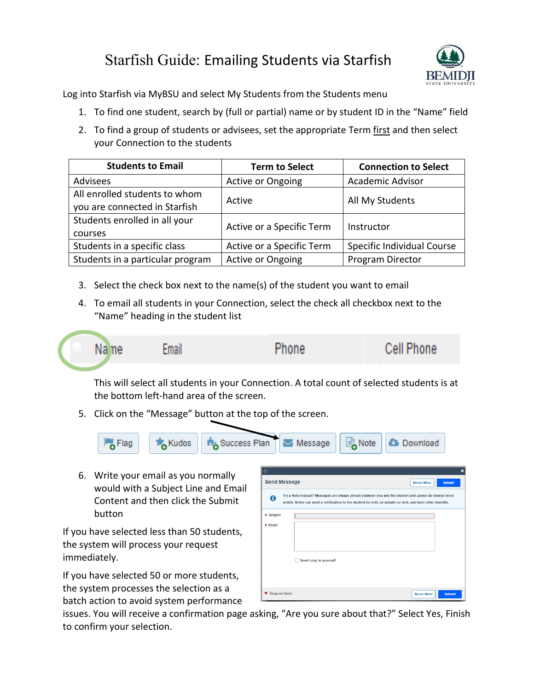## Starfish Guide: Emailing Students via Starfish



Log into Starfish via MyBSU and select My Students from the Students menu

- 1. To find one student, search by (full or partial) name or by student ID in the "Name" field
- 2. To find a group of students or advisees, set the appropriate Term first and then select your Connection to the students

| <b>Students to Email</b>         | <b>Term to Select</b>     | <b>Connection to Select</b> |
|----------------------------------|---------------------------|-----------------------------|
| Advisees                         | <b>Active or Ongoing</b>  | <b>Academic Advisor</b>     |
| All enrolled students to whom    | Active                    | All My Students             |
| you are connected in Starfish    |                           |                             |
| Students enrolled in all your    | Active or a Specific Term | Instructor                  |
| courses                          |                           |                             |
| Students in a specific class     | Active or a Specific Term | Specific Individual Course  |
| Students in a particular program | Active or Ongoing         | Program Director            |

- 3. Select the check box next to the name(s) of the student you want to email
- 4. To email all students in your Connection, select the check all checkbox next to the "Name" heading in the student list



This will select all students in your Connection. A total count of selected students is at the bottom left-hand area of the screen.

5. Click on the "Message" button at the top of the screen.



6. Write your email as you normally would with a Subject Line and Email Content and then click the Submit button

If you have selected less than 50 students, the system will process your request immediately.

If you have selected 50 or more students, the system processes the selection as a batch action to avoid system performance

| A                    | Try a Note instead? Messages are always private between you and the student and cannot be shared more<br>widely. Notes can send a notification to the student (or not), be private (or not), and have other benefits. |  |
|----------------------|-----------------------------------------------------------------------------------------------------------------------------------------------------------------------------------------------------------------------|--|
| * Subject<br>* Email | Send copy to yourself                                                                                                                                                                                                 |  |

issues. You will receive a confirmation page asking, "Are you sure about that?" Select Yes, Finish to confirm your selection.